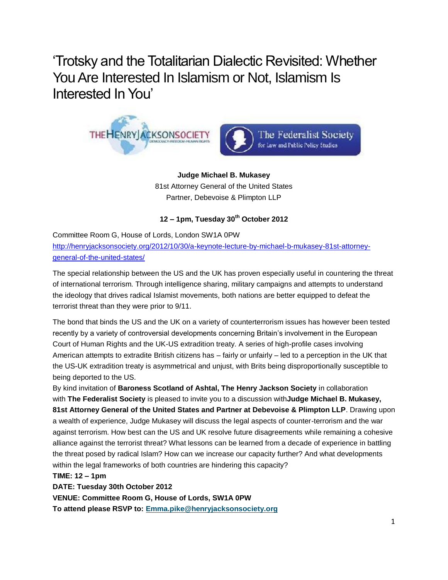'Trotsky and the Totalitarian Dialectic Revisited: Whether You Are Interested In Islamism or Not, Islamism Is Interested In You'



**Judge Michael B. Mukasey** 81st Attorney General of the United States Partner, Debevoise & Plimpton LLP

**12 – 1pm, Tuesday 30th October 2012**

Committee Room G, House of Lords, London SW1A 0PW [http://henryjacksonsociety.org/2012/10/30/a-keynote-lecture-by-michael-b-mukasey-81st-attorney](http://henryjacksonsociety.org/2012/10/30/a-keynote-lecture-by-michael-b-mukasey-81st-attorney-general-of-the-united-states/)[general-of-the-united-states/](http://henryjacksonsociety.org/2012/10/30/a-keynote-lecture-by-michael-b-mukasey-81st-attorney-general-of-the-united-states/) 

The special relationship between the US and the UK has proven especially useful in countering the threat of international terrorism. Through intelligence sharing, military campaigns and attempts to understand the ideology that drives radical Islamist movements, both nations are better equipped to defeat the terrorist threat than they were prior to 9/11.

The bond that binds the US and the UK on a variety of counterterrorism issues has however been tested recently by a variety of controversial developments concerning Britain's involvement in the European Court of Human Rights and the UK-US extradition treaty. A series of high-profile cases involving American attempts to extradite British citizens has – fairly or unfairly – led to a perception in the UK that the US-UK extradition treaty is asymmetrical and unjust, with Brits being disproportionally susceptible to being deported to the US.

By kind invitation of **Baroness Scotland of Ashtal, The Henry Jackson Society** in collaboration with **The Federalist Society** is pleased to invite you to a discussion with**Judge Michael B. Mukasey, 81st Attorney General of the United States and Partner at Debevoise & Plimpton LLP**. Drawing upon a wealth of experience, Judge Mukasey will discuss the legal aspects of counter-terrorism and the war against terrorism. How best can the US and UK resolve future disagreements while remaining a cohesive alliance against the terrorist threat? What lessons can be learned from a decade of experience in battling the threat posed by radical Islam? How can we increase our capacity further? And what developments within the legal frameworks of both countries are hindering this capacity?

# **TIME: 12 – 1pm**

**DATE: Tuesday 30th October 2012**

**VENUE: Committee Room G, House of Lords, SW1A 0PW**

**To attend please RSVP to: [Emma.pike@henryjacksonsociety.org](mailto:Emma.pike@henryjacksonsociety.org)**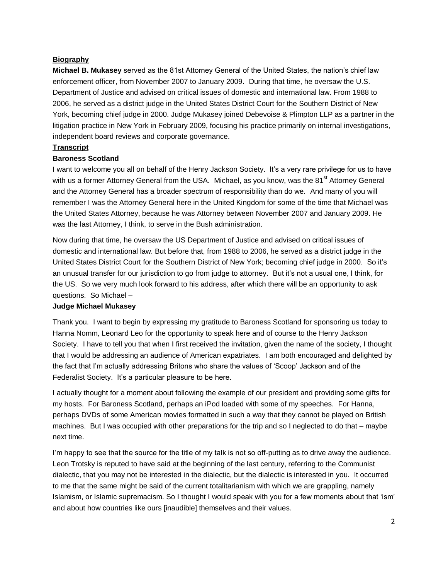# **Biography**

**Michael B. Mukasey** served as the 81st Attorney General of the United States, the nation's chief law enforcement officer, from November 2007 to January 2009. During that time, he oversaw the U.S. Department of Justice and advised on critical issues of domestic and international law. From 1988 to 2006, he served as a district judge in the United States District Court for the Southern District of New York, becoming chief judge in 2000. Judge Mukasey joined Debevoise & Plimpton LLP as a partner in the litigation practice in New York in February 2009, focusing his practice primarily on internal investigations, independent board reviews and corporate governance.

#### **Transcript**

#### **Baroness Scotland**

I want to welcome you all on behalf of the Henry Jackson Society. It's a very rare privilege for us to have with us a former Attorney General from the USA. Michael, as you know, was the 81<sup>st</sup> Attorney General and the Attorney General has a broader spectrum of responsibility than do we. And many of you will remember I was the Attorney General here in the United Kingdom for some of the time that Michael was the United States Attorney, because he was Attorney between November 2007 and January 2009. He was the last Attorney, I think, to serve in the Bush administration.

Now during that time, he oversaw the US Department of Justice and advised on critical issues of domestic and international law. But before that, from 1988 to 2006, he served as a district judge in the United States District Court for the Southern District of New York; becoming chief judge in 2000. So it's an unusual transfer for our jurisdiction to go from judge to attorney. But it's not a usual one, I think, for the US. So we very much look forward to his address, after which there will be an opportunity to ask questions. So Michael –

#### **Judge Michael Mukasey**

Thank you. I want to begin by expressing my gratitude to Baroness Scotland for sponsoring us today to Hanna Nomm, Leonard Leo for the opportunity to speak here and of course to the Henry Jackson Society. I have to tell you that when I first received the invitation, given the name of the society, I thought that I would be addressing an audience of American expatriates. I am both encouraged and delighted by the fact that I'm actually addressing Britons who share the values of 'Scoop' Jackson and of the Federalist Society. It's a particular pleasure to be here.

I actually thought for a moment about following the example of our president and providing some gifts for my hosts. For Baroness Scotland, perhaps an iPod loaded with some of my speeches. For Hanna, perhaps DVDs of some American movies formatted in such a way that they cannot be played on British machines. But I was occupied with other preparations for the trip and so I neglected to do that – maybe next time.

I'm happy to see that the source for the title of my talk is not so off-putting as to drive away the audience. Leon Trotsky is reputed to have said at the beginning of the last century, referring to the Communist dialectic, that you may not be interested in the dialectic, but the dialectic is interested in you. It occurred to me that the same might be said of the current totalitarianism with which we are grappling, namely Islamism, or Islamic supremacism. So I thought I would speak with you for a few moments about that 'ism' and about how countries like ours [inaudible] themselves and their values.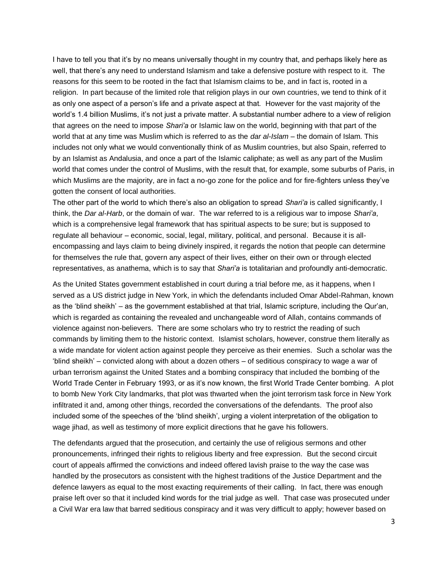I have to tell you that it's by no means universally thought in my country that, and perhaps likely here as well, that there's any need to understand Islamism and take a defensive posture with respect to it. The reasons for this seem to be rooted in the fact that Islamism claims to be, and in fact is, rooted in a religion. In part because of the limited role that religion plays in our own countries, we tend to think of it as only one aspect of a person's life and a private aspect at that. However for the vast majority of the world's 1.4 billion Muslims, it's not just a private matter. A substantial number adhere to a view of religion that agrees on the need to impose *Shari'a* or Islamic law on the world, beginning with that part of the world that at any time was Muslim which is referred to as the *dar al-Islam* – the domain of Islam. This includes not only what we would conventionally think of as Muslim countries, but also Spain, referred to by an Islamist as Andalusia, and once a part of the Islamic caliphate; as well as any part of the Muslim world that comes under the control of Muslims, with the result that, for example, some suburbs of Paris, in which Muslims are the majority, are in fact a no-go zone for the police and for fire-fighters unless they've gotten the consent of local authorities.

The other part of the world to which there's also an obligation to spread *Shari'a* is called significantly, I think, the *Dar al-Harb*, or the domain of war. The war referred to is a religious war to impose *Shari'a*, which is a comprehensive legal framework that has spiritual aspects to be sure; but is supposed to regulate all behaviour – economic, social, legal, military, political, and personal. Because it is allencompassing and lays claim to being divinely inspired, it regards the notion that people can determine for themselves the rule that, govern any aspect of their lives, either on their own or through elected representatives, as anathema, which is to say that *Shari'a* is totalitarian and profoundly anti-democratic.

As the United States government established in court during a trial before me, as it happens, when I served as a US district judge in New York, in which the defendants included Omar Abdel-Rahman, known as the 'blind sheikh' – as the government established at that trial, Islamic scripture, including the Qur'an, which is regarded as containing the revealed and unchangeable word of Allah, contains commands of violence against non-believers. There are some scholars who try to restrict the reading of such commands by limiting them to the historic context. Islamist scholars, however, construe them literally as a wide mandate for violent action against people they perceive as their enemies. Such a scholar was the 'blind sheikh' – convicted along with about a dozen others – of seditious conspiracy to wage a war of urban terrorism against the United States and a bombing conspiracy that included the bombing of the World Trade Center in February 1993, or as it's now known, the first World Trade Center bombing. A plot to bomb New York City landmarks, that plot was thwarted when the joint terrorism task force in New York infiltrated it and, among other things, recorded the conversations of the defendants. The proof also included some of the speeches of the 'blind sheikh', urging a violent interpretation of the obligation to wage jihad, as well as testimony of more explicit directions that he gave his followers.

The defendants argued that the prosecution, and certainly the use of religious sermons and other pronouncements, infringed their rights to religious liberty and free expression. But the second circuit court of appeals affirmed the convictions and indeed offered lavish praise to the way the case was handled by the prosecutors as consistent with the highest traditions of the Justice Department and the defence lawyers as equal to the most exacting requirements of their calling. In fact, there was enough praise left over so that it included kind words for the trial judge as well. That case was prosecuted under a Civil War era law that barred seditious conspiracy and it was very difficult to apply; however based on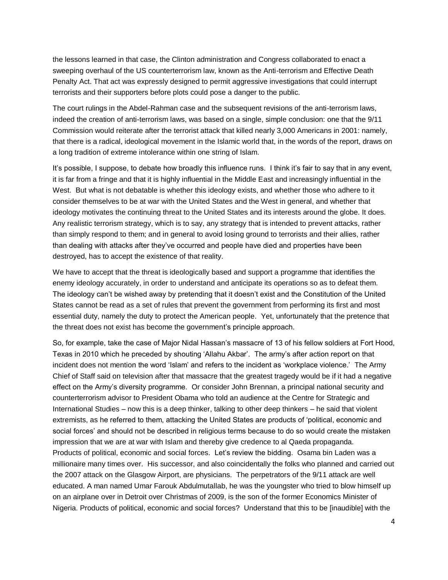the lessons learned in that case, the Clinton administration and Congress collaborated to enact a sweeping overhaul of the US counterterrorism law, known as the Anti-terrorism and Effective Death Penalty Act. That act was expressly designed to permit aggressive investigations that could interrupt terrorists and their supporters before plots could pose a danger to the public.

The court rulings in the Abdel-Rahman case and the subsequent revisions of the anti-terrorism laws, indeed the creation of anti-terrorism laws, was based on a single, simple conclusion: one that the 9/11 Commission would reiterate after the terrorist attack that killed nearly 3,000 Americans in 2001: namely, that there is a radical, ideological movement in the Islamic world that, in the words of the report, draws on a long tradition of extreme intolerance within one string of Islam.

It's possible, I suppose, to debate how broadly this influence runs. I think it's fair to say that in any event, it is far from a fringe and that it is highly influential in the Middle East and increasingly influential in the West. But what is not debatable is whether this ideology exists, and whether those who adhere to it consider themselves to be at war with the United States and the West in general, and whether that ideology motivates the continuing threat to the United States and its interests around the globe. It does. Any realistic terrorism strategy, which is to say, any strategy that is intended to prevent attacks, rather than simply respond to them; and in general to avoid losing ground to terrorists and their allies, rather than dealing with attacks after they've occurred and people have died and properties have been destroyed, has to accept the existence of that reality.

We have to accept that the threat is ideologically based and support a programme that identifies the enemy ideology accurately, in order to understand and anticipate its operations so as to defeat them. The ideology can't be wished away by pretending that it doesn't exist and the Constitution of the United States cannot be read as a set of rules that prevent the government from performing its first and most essential duty, namely the duty to protect the American people. Yet, unfortunately that the pretence that the threat does not exist has become the government's principle approach.

So, for example, take the case of Major Nidal Hassan's massacre of 13 of his fellow soldiers at Fort Hood, Texas in 2010 which he preceded by shouting 'Allahu Akbar'. The army's after action report on that incident does not mention the word 'Islam' and refers to the incident as 'workplace violence.' The Army Chief of Staff said on television after that massacre that the greatest tragedy would be if it had a negative effect on the Army's diversity programme. Or consider John Brennan, a principal national security and counterterrorism advisor to President Obama who told an audience at the Centre for Strategic and International Studies – now this is a deep thinker, talking to other deep thinkers – he said that violent extremists, as he referred to them, attacking the United States are products of 'political, economic and social forces' and should not be described in religious terms because to do so would create the mistaken impression that we are at war with Islam and thereby give credence to al Qaeda propaganda. Products of political, economic and social forces. Let's review the bidding. Osama bin Laden was a millionaire many times over. His successor, and also coincidentally the folks who planned and carried out the 2007 attack on the Glasgow Airport, are physicians. The perpetrators of the 9/11 attack are well educated. A man named Umar Farouk Abdulmutallab, he was the youngster who tried to blow himself up on an airplane over in Detroit over Christmas of 2009, is the son of the former Economics Minister of Nigeria. Products of political, economic and social forces? Understand that this to be [inaudible] with the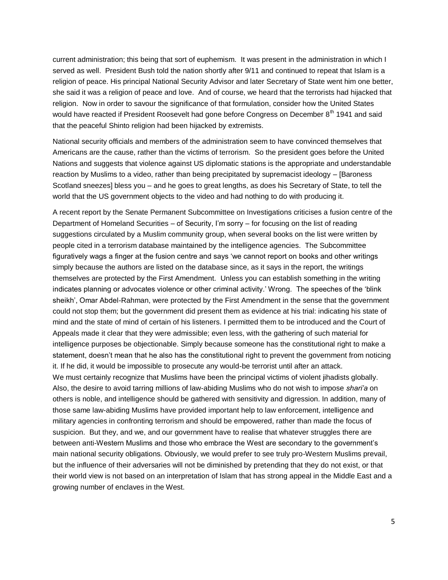current administration; this being that sort of euphemism. It was present in the administration in which I served as well. President Bush told the nation shortly after 9/11 and continued to repeat that Islam is a religion of peace. His principal National Security Advisor and later Secretary of State went him one better, she said it was a religion of peace and love. And of course, we heard that the terrorists had hijacked that religion. Now in order to savour the significance of that formulation, consider how the United States would have reacted if President Roosevelt had gone before Congress on December 8<sup>th</sup> 1941 and said that the peaceful Shinto religion had been hijacked by extremists.

National security officials and members of the administration seem to have convinced themselves that Americans are the cause, rather than the victims of terrorism. So the president goes before the United Nations and suggests that violence against US diplomatic stations is the appropriate and understandable reaction by Muslims to a video, rather than being precipitated by supremacist ideology – [Baroness Scotland sneezes] bless you – and he goes to great lengths, as does his Secretary of State, to tell the world that the US government objects to the video and had nothing to do with producing it.

A recent report by the Senate Permanent Subcommittee on Investigations criticises a fusion centre of the Department of Homeland Securities – of Security, I'm sorry – for focusing on the list of reading suggestions circulated by a Muslim community group, when several books on the list were written by people cited in a terrorism database maintained by the intelligence agencies. The Subcommittee figuratively wags a finger at the fusion centre and says 'we cannot report on books and other writings simply because the authors are listed on the database since, as it says in the report, the writings themselves are protected by the First Amendment. Unless you can establish something in the writing indicates planning or advocates violence or other criminal activity.' Wrong. The speeches of the 'blink sheikh', Omar Abdel-Rahman, were protected by the First Amendment in the sense that the government could not stop them; but the government did present them as evidence at his trial: indicating his state of mind and the state of mind of certain of his listeners. I permitted them to be introduced and the Court of Appeals made it clear that they were admissible; even less, with the gathering of such material for intelligence purposes be objectionable. Simply because someone has the constitutional right to make a statement, doesn't mean that he also has the constitutional right to prevent the government from noticing it. If he did, it would be impossible to prosecute any would-be terrorist until after an attack. We must certainly recognize that Muslims have been the principal victims of violent jihadists globally. Also, the desire to avoid tarring millions of law-abiding Muslims who do not wish to impose *shari'a* on others is noble, and intelligence should be gathered with sensitivity and digression. In addition, many of those same law-abiding Muslims have provided important help to law enforcement, intelligence and military agencies in confronting terrorism and should be empowered, rather than made the focus of suspicion. But they, and we, and our government have to realise that whatever struggles there are between anti-Western Muslims and those who embrace the West are secondary to the government's main national security obligations. Obviously, we would prefer to see truly pro-Western Muslims prevail, but the influence of their adversaries will not be diminished by pretending that they do not exist, or that their world view is not based on an interpretation of Islam that has strong appeal in the Middle East and a growing number of enclaves in the West.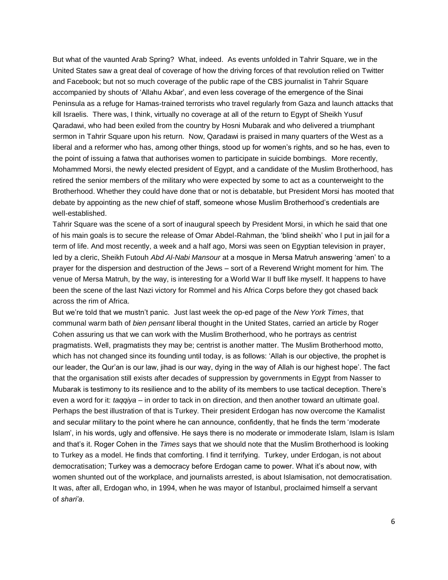But what of the vaunted Arab Spring? What, indeed. As events unfolded in Tahrir Square, we in the United States saw a great deal of coverage of how the driving forces of that revolution relied on Twitter and Facebook; but not so much coverage of the public rape of the CBS journalist in Tahrir Square accompanied by shouts of 'Allahu Akbar', and even less coverage of the emergence of the Sinai Peninsula as a refuge for Hamas-trained terrorists who travel regularly from Gaza and launch attacks that kill Israelis. There was, I think, virtually no coverage at all of the return to Egypt of Sheikh Yusuf Qaradawi, who had been exiled from the country by Hosni Mubarak and who delivered a triumphant sermon in Tahrir Square upon his return. Now, Qaradawi is praised in many quarters of the West as a liberal and a reformer who has, among other things, stood up for women's rights, and so he has, even to the point of issuing a fatwa that authorises women to participate in suicide bombings. More recently, Mohammed Morsi, the newly elected president of Egypt, and a candidate of the Muslim Brotherhood, has retired the senior members of the military who were expected by some to act as a counterweight to the Brotherhood. Whether they could have done that or not is debatable, but President Morsi has mooted that debate by appointing as the new chief of staff, someone whose Muslim Brotherhood's credentials are well-established.

Tahrir Square was the scene of a sort of inaugural speech by President Morsi, in which he said that one of his main goals is to secure the release of Omar Abdel-Rahman, the 'blind sheikh' who I put in jail for a term of life. And most recently, a week and a half ago, Morsi was seen on Egyptian television in prayer, led by a cleric, Sheikh Futouh *Abd Al*-*Nabi Mansour* at a mosque in Mersa Matruh answering 'amen' to a prayer for the dispersion and destruction of the Jews – sort of a Reverend Wright moment for him. The venue of Mersa Matruh, by the way, is interesting for a World War II buff like myself. It happens to have been the scene of the last Nazi victory for Rommel and his Africa Corps before they got chased back across the rim of Africa.

But we're told that we mustn't panic. Just last week the op-ed page of the *New York Times*, that communal warm bath of *bien pensant* liberal thought in the United States, carried an article by Roger Cohen assuring us that we can work with the Muslim Brotherhood, who he portrays as centrist pragmatists. Well, pragmatists they may be; centrist is another matter. The Muslim Brotherhood motto, which has not changed since its founding until today, is as follows: 'Allah is our objective, the prophet is our leader, the Qur'an is our law, jihad is our way, dying in the way of Allah is our highest hope'. The fact that the organisation still exists after decades of suppression by governments in Egypt from Nasser to Mubarak is testimony to its resilience and to the ability of its members to use tactical deception. There's even a word for it: *taqqiya* – in order to tack in on direction, and then another toward an ultimate goal. Perhaps the best illustration of that is Turkey. Their president Erdogan has now overcome the Kamalist and secular military to the point where he can announce, confidently, that he finds the term 'moderate Islam', in his words, ugly and offensive. He says there is no moderate or immoderate Islam, Islam is Islam and that's it. Roger Cohen in the *Times* says that we should note that the Muslim Brotherhood is looking to Turkey as a model. He finds that comforting. I find it terrifying. Turkey, under Erdogan, is not about democratisation; Turkey was a democracy before Erdogan came to power. What it's about now, with women shunted out of the workplace, and journalists arrested, is about Islamisation, not democratisation. It was, after all, Erdogan who, in 1994, when he was mayor of Istanbul, proclaimed himself a servant of *shari'a*.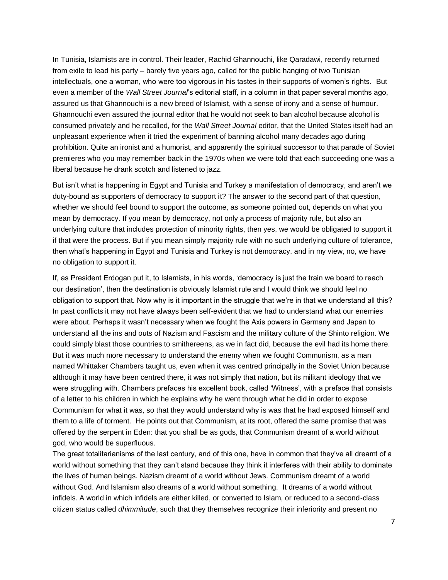In Tunisia, Islamists are in control. Their leader, Rachid Ghannouchi, like Qaradawi, recently returned from exile to lead his party – barely five years ago, called for the public hanging of two Tunisian intellectuals, one a woman, who were too vigorous in his tastes in their supports of women's rights. But even a member of the *Wall Street Journal*'s editorial staff, in a column in that paper several months ago, assured us that Ghannouchi is a new breed of Islamist, with a sense of irony and a sense of humour. Ghannouchi even assured the journal editor that he would not seek to ban alcohol because alcohol is consumed privately and he recalled, for the *Wall Street Journal* editor, that the United States itself had an unpleasant experience when it tried the experiment of banning alcohol many decades ago during prohibition. Quite an ironist and a humorist, and apparently the spiritual successor to that parade of Soviet premieres who you may remember back in the 1970s when we were told that each succeeding one was a liberal because he drank scotch and listened to jazz.

But isn't what is happening in Egypt and Tunisia and Turkey a manifestation of democracy, and aren't we duty-bound as supporters of democracy to support it? The answer to the second part of that question, whether we should feel bound to support the outcome, as someone pointed out, depends on what you mean by democracy. If you mean by democracy, not only a process of majority rule, but also an underlying culture that includes protection of minority rights, then yes, we would be obligated to support it if that were the process. But if you mean simply majority rule with no such underlying culture of tolerance, then what's happening in Egypt and Tunisia and Turkey is not democracy, and in my view, no, we have no obligation to support it.

If, as President Erdogan put it, to Islamists, in his words, 'democracy is just the train we board to reach our destination', then the destination is obviously Islamist rule and I would think we should feel no obligation to support that. Now why is it important in the struggle that we're in that we understand all this? In past conflicts it may not have always been self-evident that we had to understand what our enemies were about. Perhaps it wasn't necessary when we fought the Axis powers in Germany and Japan to understand all the ins and outs of Nazism and Fascism and the military culture of the Shinto religion. We could simply blast those countries to smithereens, as we in fact did, because the evil had its home there. But it was much more necessary to understand the enemy when we fought Communism, as a man named Whittaker Chambers taught us, even when it was centred principally in the Soviet Union because although it may have been centred there, it was not simply that nation, but its militant ideology that we were struggling with. Chambers prefaces his excellent book, called 'Witness', with a preface that consists of a letter to his children in which he explains why he went through what he did in order to expose Communism for what it was, so that they would understand why is was that he had exposed himself and them to a life of torment. He points out that Communism, at its root, offered the same promise that was offered by the serpent in Eden: that you shall be as gods, that Communism dreamt of a world without god, who would be superfluous.

The great totalitarianisms of the last century, and of this one, have in common that they've all dreamt of a world without something that they can't stand because they think it interferes with their ability to dominate the lives of human beings. Nazism dreamt of a world without Jews. Communism dreamt of a world without God. And Islamism also dreams of a world without something. It dreams of a world without infidels. A world in which infidels are either killed, or converted to Islam, or reduced to a second-class citizen status called *dhimmitude*, such that they themselves recognize their inferiority and present no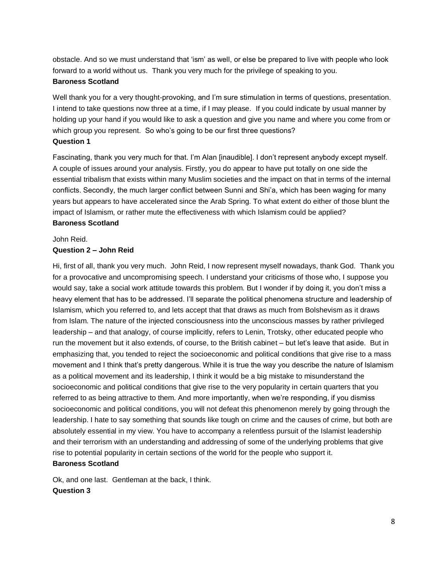obstacle. And so we must understand that 'ism' as well, or else be prepared to live with people who look forward to a world without us. Thank you very much for the privilege of speaking to you.

#### **Baroness Scotland**

Well thank you for a very thought-provoking, and I'm sure stimulation in terms of questions, presentation. I intend to take questions now three at a time, if I may please. If you could indicate by usual manner by holding up your hand if you would like to ask a question and give you name and where you come from or which group you represent. So who's going to be our first three questions? **Question 1**

Fascinating, thank you very much for that. I'm Alan [inaudible]. I don't represent anybody except myself. A couple of issues around your analysis. Firstly, you do appear to have put totally on one side the essential tribalism that exists within many Muslim societies and the impact on that in terms of the internal conflicts. Secondly, the much larger conflict between Sunni and Shi'a, which has been waging for many years but appears to have accelerated since the Arab Spring. To what extent do either of those blunt the impact of Islamism, or rather mute the effectiveness with which Islamism could be applied? **Baroness Scotland**

#### John Reid.

#### **Question 2 – John Reid**

Hi, first of all, thank you very much. John Reid, I now represent myself nowadays, thank God. Thank you for a provocative and uncompromising speech. I understand your criticisms of those who, I suppose you would say, take a social work attitude towards this problem. But I wonder if by doing it, you don't miss a heavy element that has to be addressed. I'll separate the political phenomena structure and leadership of Islamism, which you referred to, and lets accept that that draws as much from Bolshevism as it draws from Islam. The nature of the injected consciousness into the unconscious masses by rather privileged leadership – and that analogy, of course implicitly, refers to Lenin, Trotsky, other educated people who run the movement but it also extends, of course, to the British cabinet – but let's leave that aside. But in emphasizing that, you tended to reject the socioeconomic and political conditions that give rise to a mass movement and I think that's pretty dangerous. While it is true the way you describe the nature of Islamism as a political movement and its leadership, I think it would be a big mistake to misunderstand the socioeconomic and political conditions that give rise to the very popularity in certain quarters that you referred to as being attractive to them. And more importantly, when we're responding, if you dismiss socioeconomic and political conditions, you will not defeat this phenomenon merely by going through the leadership. I hate to say something that sounds like tough on crime and the causes of crime, but both are absolutely essential in my view. You have to accompany a relentless pursuit of the Islamist leadership and their terrorism with an understanding and addressing of some of the underlying problems that give rise to potential popularity in certain sections of the world for the people who support it. **Baroness Scotland**

Ok, and one last. Gentleman at the back, I think. **Question 3**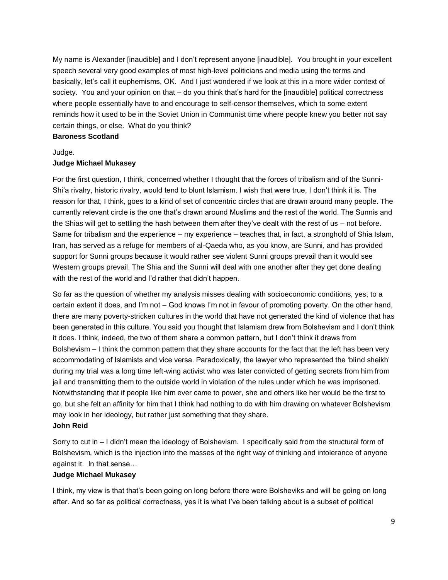My name is Alexander [inaudible] and I don't represent anyone [inaudible]. You brought in your excellent speech several very good examples of most high-level politicians and media using the terms and basically, let's call it euphemisms, OK. And I just wondered if we look at this in a more wider context of society. You and your opinion on that – do you think that's hard for the [inaudible] political correctness where people essentially have to and encourage to self-censor themselves, which to some extent reminds how it used to be in the Soviet Union in Communist time where people knew you better not say certain things, or else. What do you think?

#### **Baroness Scotland**

#### Judge.

# **Judge Michael Mukasey**

For the first question, I think, concerned whether I thought that the forces of tribalism and of the Sunni-Shi'a rivalry, historic rivalry, would tend to blunt Islamism. I wish that were true, I don't think it is. The reason for that, I think, goes to a kind of set of concentric circles that are drawn around many people. The currently relevant circle is the one that's drawn around Muslims and the rest of the world. The Sunnis and the Shias will get to settling the hash between them after they've dealt with the rest of us – not before. Same for tribalism and the experience – my experience – teaches that, in fact, a stronghold of Shia Islam, Iran, has served as a refuge for members of al-Qaeda who, as you know, are Sunni, and has provided support for Sunni groups because it would rather see violent Sunni groups prevail than it would see Western groups prevail. The Shia and the Sunni will deal with one another after they get done dealing with the rest of the world and I'd rather that didn't happen.

So far as the question of whether my analysis misses dealing with socioeconomic conditions, yes, to a certain extent it does, and I'm not – God knows I'm not in favour of promoting poverty. On the other hand, there are many poverty-stricken cultures in the world that have not generated the kind of violence that has been generated in this culture. You said you thought that Islamism drew from Bolshevism and I don't think it does. I think, indeed, the two of them share a common pattern, but I don't think it draws from Bolshevism – I think the common pattern that they share accounts for the fact that the left has been very accommodating of Islamists and vice versa. Paradoxically, the lawyer who represented the 'blind sheikh' during my trial was a long time left-wing activist who was later convicted of getting secrets from him from jail and transmitting them to the outside world in violation of the rules under which he was imprisoned. Notwithstanding that if people like him ever came to power, she and others like her would be the first to go, but she felt an affinity for him that I think had nothing to do with him drawing on whatever Bolshevism may look in her ideology, but rather just something that they share.

#### **John Reid**

Sorry to cut in – I didn't mean the ideology of Bolshevism. I specifically said from the structural form of Bolshevism, which is the injection into the masses of the right way of thinking and intolerance of anyone against it. In that sense…

# **Judge Michael Mukasey**

I think, my view is that that's been going on long before there were Bolsheviks and will be going on long after. And so far as political correctness, yes it is what I've been talking about is a subset of political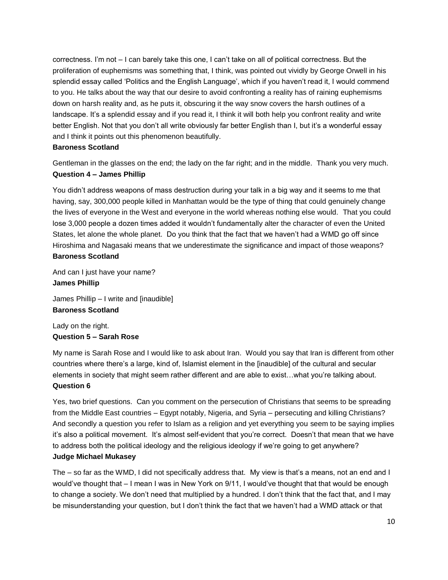correctness. I'm not – I can barely take this one, I can't take on all of political correctness. But the proliferation of euphemisms was something that, I think, was pointed out vividly by George Orwell in his splendid essay called 'Politics and the English Language', which if you haven't read it, I would commend to you. He talks about the way that our desire to avoid confronting a reality has of raining euphemisms down on harsh reality and, as he puts it, obscuring it the way snow covers the harsh outlines of a landscape. It's a splendid essay and if you read it, I think it will both help you confront reality and write better English. Not that you don't all write obviously far better English than I, but it's a wonderful essay and I think it points out this phenomenon beautifully.

# **Baroness Scotland**

Gentleman in the glasses on the end; the lady on the far right; and in the middle. Thank you very much. **Question 4 – James Phillip**

You didn't address weapons of mass destruction during your talk in a big way and it seems to me that having, say, 300,000 people killed in Manhattan would be the type of thing that could genuinely change the lives of everyone in the West and everyone in the world whereas nothing else would. That you could lose 3,000 people a dozen times added it wouldn't fundamentally alter the character of even the United States, let alone the whole planet. Do you think that the fact that we haven't had a WMD go off since Hiroshima and Nagasaki means that we underestimate the significance and impact of those weapons? **Baroness Scotland**

And can I just have your name? **James Phillip**

James Phillip – I write and [inaudible] **Baroness Scotland**

Lady on the right. **Question 5 – Sarah Rose**

My name is Sarah Rose and I would like to ask about Iran. Would you say that Iran is different from other countries where there's a large, kind of, Islamist element in the [inaudible] of the cultural and secular elements in society that might seem rather different and are able to exist…what you're talking about. **Question 6**

Yes, two brief questions. Can you comment on the persecution of Christians that seems to be spreading from the Middle East countries – Egypt notably, Nigeria, and Syria – persecuting and killing Christians? And secondly a question you refer to Islam as a religion and yet everything you seem to be saying implies it's also a political movement. It's almost self-evident that you're correct. Doesn't that mean that we have to address both the political ideology and the religious ideology if we're going to get anywhere? **Judge Michael Mukasey**

The – so far as the WMD, I did not specifically address that. My view is that's a means, not an end and I would've thought that  $-1$  mean I was in New York on 9/11, I would've thought that that would be enough to change a society. We don't need that multiplied by a hundred. I don't think that the fact that, and I may be misunderstanding your question, but I don't think the fact that we haven't had a WMD attack or that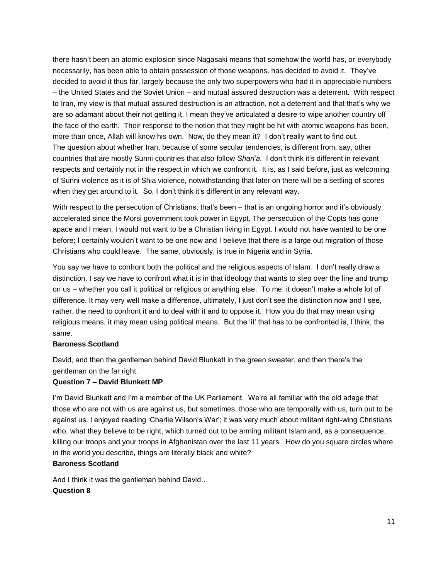there hasn't been an atomic explosion since Nagasaki means that somehow the world has, or everybody necessarily, has been able to obtain possession of those weapons, has decided to avoid it. They've decided to avoid it thus far, largely because the only two superpowers who had it in appreciable numbers – the United States and the Soviet Union – and mutual assured destruction was a deterrent. With respect to Iran, my view is that mutual assured destruction is an attraction, not a deterrent and that that's why we are so adamant about their not getting it. I mean they've articulated a desire to wipe another country off the face of the earth. Their response to the notion that they might be hit with atomic weapons has been, more than once, Allah will know his own. Now, do they mean it? I don't really want to find out. The question about whether Iran, because of some secular tendencies, is different from, say, other countries that are mostly Sunni countries that also follow *Shari'a*. I don't think it's different in relevant respects and certainly not in the respect in which we confront it. It is, as I said before, just as welcoming of Sunni violence as it is of Shia violence, notwithstanding that later on there will be a settling of scores when they get around to it. So, I don't think it's different in any relevant way.

With respect to the persecution of Christians, that's been – that is an ongoing horror and it's obviously accelerated since the Morsi government took power in Egypt. The persecution of the Copts has gone apace and I mean, I would not want to be a Christian living in Egypt. I would not have wanted to be one before; I certainly wouldn't want to be one now and I believe that there is a large out migration of those Christians who could leave. The same, obviously, is true in Nigeria and in Syria.

You say we have to confront both the political and the religious aspects of Islam. I don't really draw a distinction. I say we have to confront what it is in that ideology that wants to step over the line and trump on us – whether you call it political or religious or anything else. To me, it doesn't make a whole lot of difference. It may very well make a difference, ultimately, I just don't see the distinction now and I see, rather, the need to confront it and to deal with it and to oppose it. How you do that may mean using religious means, it may mean using political means. But the 'it' that has to be confronted is, I think, the same.

# **Baroness Scotland**

David, and then the gentleman behind David Blunkett in the green sweater, and then there's the gentleman on the far right.

# **Question 7 – David Blunkett MP**

I'm David Blunkett and I'm a member of the UK Parliament. We're all familiar with the old adage that those who are not with us are against us, but sometimes, those who are temporally with us, turn out to be against us. I enjoyed reading 'Charlie Wilson's War'; it was very much about militant right-wing Christians who, what they believe to be right, which turned out to be arming militant Islam and, as a consequence, killing our troops and your troops in Afghanistan over the last 11 years. How do you square circles where in the world you describe, things are literally black and white?

# **Baroness Scotland**

And I think it was the gentleman behind David… **Question 8**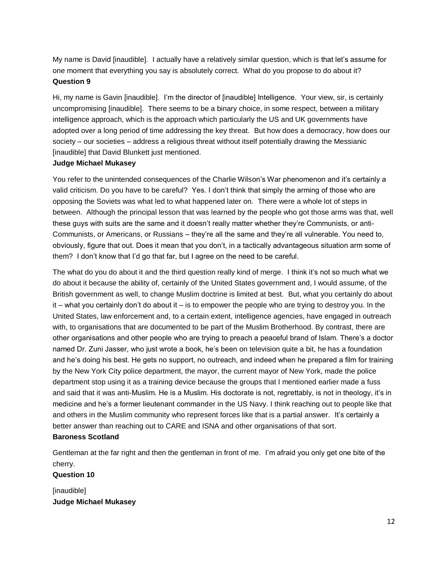My name is David [inaudible]. I actually have a relatively similar question, which is that let's assume for one moment that everything you say is absolutely correct. What do you propose to do about it? **Question 9**

Hi, my name is Gavin [inaudible]. I'm the director of [inaudible] Intelligence. Your view, sir, is certainly uncompromising [inaudible]. There seems to be a binary choice, in some respect, between a military intelligence approach, which is the approach which particularly the US and UK governments have adopted over a long period of time addressing the key threat. But how does a democracy, how does our society – our societies – address a religious threat without itself potentially drawing the Messianic [inaudible] that David Blunkett just mentioned.

#### **Judge Michael Mukasey**

You refer to the unintended consequences of the Charlie Wilson's War phenomenon and it's certainly a valid criticism. Do you have to be careful? Yes. I don't think that simply the arming of those who are opposing the Soviets was what led to what happened later on. There were a whole lot of steps in between. Although the principal lesson that was learned by the people who got those arms was that, well these guys with suits are the same and it doesn't really matter whether they're Communists, or anti-Communists, or Americans, or Russians – they're all the same and they're all vulnerable. You need to, obviously, figure that out. Does it mean that you don't, in a tactically advantageous situation arm some of them? I don't know that I'd go that far, but I agree on the need to be careful.

The what do you do about it and the third question really kind of merge. I think it's not so much what we do about it because the ability of, certainly of the United States government and, I would assume, of the British government as well, to change Muslim doctrine is limited at best. But, what you certainly do about it – what you certainly don't do about it – is to empower the people who are trying to destroy you. In the United States, law enforcement and, to a certain extent, intelligence agencies, have engaged in outreach with, to organisations that are documented to be part of the Muslim Brotherhood. By contrast, there are other organisations and other people who are trying to preach a peaceful brand of Islam. There's a doctor named Dr. Zuni Jasser, who just wrote a book, he's been on television quite a bit, he has a foundation and he's doing his best. He gets no support, no outreach, and indeed when he prepared a film for training by the New York City police department, the mayor, the current mayor of New York, made the police department stop using it as a training device because the groups that I mentioned earlier made a fuss and said that it was anti-Muslim. He is a Muslim. His doctorate is not, regrettably, is not in theology, it's in medicine and he's a former lieutenant commander in the US Navy. I think reaching out to people like that and others in the Muslim community who represent forces like that is a partial answer. It's certainly a better answer than reaching out to CARE and ISNA and other organisations of that sort.

## **Baroness Scotland**

Gentleman at the far right and then the gentleman in front of me. I'm afraid you only get one bite of the cherry.

# **Question 10**

[inaudible] **Judge Michael Mukasey**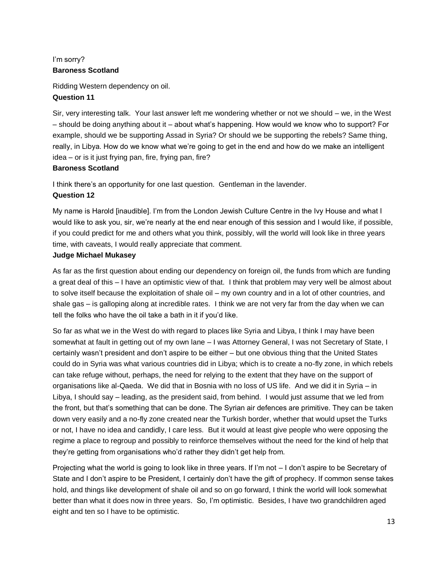# I'm sorry? **Baroness Scotland**

Ridding Western dependency on oil. **Question 11**

Sir, very interesting talk. Your last answer left me wondering whether or not we should – we, in the West – should be doing anything about it – about what's happening. How would we know who to support? For example, should we be supporting Assad in Syria? Or should we be supporting the rebels? Same thing, really, in Libya. How do we know what we're going to get in the end and how do we make an intelligent idea – or is it just frying pan, fire, frying pan, fire?

# **Baroness Scotland**

I think there's an opportunity for one last question. Gentleman in the lavender.

# **Question 12**

My name is Harold [inaudible]. I'm from the London Jewish Culture Centre in the Ivy House and what I would like to ask you, sir, we're nearly at the end near enough of this session and I would like, if possible, if you could predict for me and others what you think, possibly, will the world will look like in three years time, with caveats, I would really appreciate that comment.

# **Judge Michael Mukasey**

As far as the first question about ending our dependency on foreign oil, the funds from which are funding a great deal of this – I have an optimistic view of that. I think that problem may very well be almost about to solve itself because the exploitation of shale oil – my own country and in a lot of other countries, and shale gas – is galloping along at incredible rates. I think we are not very far from the day when we can tell the folks who have the oil take a bath in it if you'd like.

So far as what we in the West do with regard to places like Syria and Libya, I think I may have been somewhat at fault in getting out of my own lane – I was Attorney General, I was not Secretary of State, I certainly wasn't president and don't aspire to be either – but one obvious thing that the United States could do in Syria was what various countries did in Libya; which is to create a no-fly zone, in which rebels can take refuge without, perhaps, the need for relying to the extent that they have on the support of organisations like al-Qaeda. We did that in Bosnia with no loss of US life. And we did it in Syria – in Libya, I should say – leading, as the president said, from behind. I would just assume that we led from the front, but that's something that can be done. The Syrian air defences are primitive. They can be taken down very easily and a no-fly zone created near the Turkish border, whether that would upset the Turks or not, I have no idea and candidly, I care less. But it would at least give people who were opposing the regime a place to regroup and possibly to reinforce themselves without the need for the kind of help that they're getting from organisations who'd rather they didn't get help from.

Projecting what the world is going to look like in three years. If I'm not – I don't aspire to be Secretary of State and I don't aspire to be President, I certainly don't have the gift of prophecy. If common sense takes hold, and things like development of shale oil and so on go forward, I think the world will look somewhat better than what it does now in three years. So, I'm optimistic. Besides, I have two grandchildren aged eight and ten so I have to be optimistic.